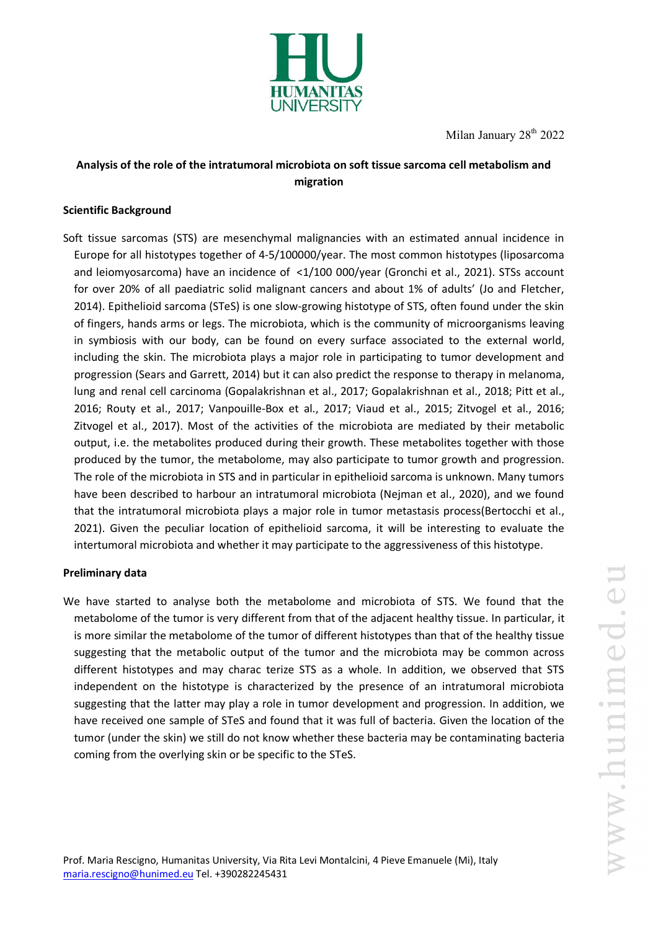

Milan January  $28<sup>th</sup> 2022$ 

# **Analysis of the role of the intratumoral microbiota on soft tissue sarcoma cell metabolism and migration**

# **Scientific Background**

Soft tissue sarcomas (STS) are mesenchymal malignancies with an estimated annual incidence in Europe for all histotypes together of 4-5/100000/year. The most common histotypes (liposarcoma and leiomyosarcoma) have an incidence of <1/100 000/year (Gronchi et al., 2021). STSs account for over 20% of all paediatric solid malignant cancers and about 1% of adults' (Jo and Fletcher, 2014). Epithelioid sarcoma (STeS) is one slow-growing histotype of STS, often found under the skin of fingers, hands arms or legs. The microbiota, which is the community of microorganisms leaving in symbiosis with our body, can be found on every surface associated to the external world, including the skin. The microbiota plays a major role in participating to tumor development and progression (Sears and Garrett, 2014) but it can also predict the response to therapy in melanoma, lung and renal cell carcinoma (Gopalakrishnan et al., 2017; Gopalakrishnan et al., 2018; Pitt et al., 2016; Routy et al., 2017; Vanpouille-Box et al., 2017; Viaud et al., 2015; Zitvogel et al., 2016; Zitvogel et al., 2017). Most of the activities of the microbiota are mediated by their metabolic output, i.e. the metabolites produced during their growth. These metabolites together with those produced by the tumor, the metabolome, may also participate to tumor growth and progression. The role of the microbiota in STS and in particular in epithelioid sarcoma is unknown. Many tumors have been described to harbour an intratumoral microbiota (Nejman et al., 2020), and we found that the intratumoral microbiota plays a major role in tumor metastasis process(Bertocchi et al., 2021). Given the peculiar location of epithelioid sarcoma, it will be interesting to evaluate the intertumoral microbiota and whether it may participate to the aggressiveness of this histotype.

# **Preliminary data**

We have started to analyse both the metabolome and microbiota of STS. We found that the metabolome of the tumor is very different from that of the adjacent healthy tissue. In particular, it is more similar the metabolome of the tumor of different histotypes than that of the healthy tissue suggesting that the metabolic output of the tumor and the microbiota may be common across different histotypes and may charac terize STS as a whole. In addition, we observed that STS independent on the histotype is characterized by the presence of an intratumoral microbiota suggesting that the latter may play a role in tumor development and progression. In addition, we have received one sample of STeS and found that it was full of bacteria. Given the location of the tumor (under the skin) we still do not know whether these bacteria may be contaminating bacteria coming from the overlying skin or be specific to the STeS.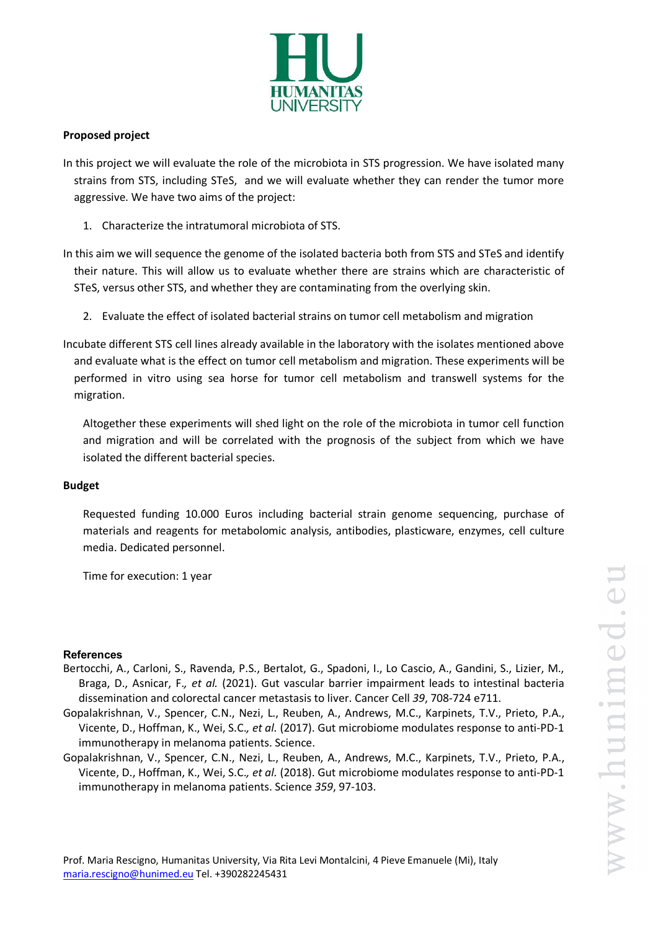

# **Proposed project**

- In this project we will evaluate the role of the microbiota in STS progression. We have isolated many strains from STS, including STeS, and we will evaluate whether they can render the tumor more aggressive. We have two aims of the project:
	- 1. Characterize the intratumoral microbiota of STS.
- In this aim we will sequence the genome of the isolated bacteria both from STS and STeS and identify their nature. This will allow us to evaluate whether there are strains which are characteristic of STeS, versus other STS, and whether they are contaminating from the overlying skin.
	- 2. Evaluate the effect of isolated bacterial strains on tumor cell metabolism and migration
- Incubate different STS cell lines already available in the laboratory with the isolates mentioned above and evaluate what is the effect on tumor cell metabolism and migration. These experiments will be performed in vitro using sea horse for tumor cell metabolism and transwell systems for the migration.
	- Altogether these experiments will shed light on the role of the microbiota in tumor cell function and migration and will be correlated with the prognosis of the subject from which we have isolated the different bacterial species.

# **Budget**

Requested funding 10.000 Euros including bacterial strain genome sequencing, purchase of materials and reagents for metabolomic analysis, antibodies, plasticware, enzymes, cell culture media. Dedicated personnel.

Time for execution: 1 year

# **References**

- Bertocchi, A., Carloni, S., Ravenda, P.S., Bertalot, G., Spadoni, I., Lo Cascio, A., Gandini, S., Lizier, M., Braga, D., Asnicar, F.*, et al.* (2021). Gut vascular barrier impairment leads to intestinal bacteria dissemination and colorectal cancer metastasis to liver. Cancer Cell *39*, 708-724 e711.
- Gopalakrishnan, V., Spencer, C.N., Nezi, L., Reuben, A., Andrews, M.C., Karpinets, T.V., Prieto, P.A., Vicente, D., Hoffman, K., Wei, S.C.*, et al.* (2017). Gut microbiome modulates response to anti-PD-1 immunotherapy in melanoma patients. Science.
- Gopalakrishnan, V., Spencer, C.N., Nezi, L., Reuben, A., Andrews, M.C., Karpinets, T.V., Prieto, P.A., Vicente, D., Hoffman, K., Wei, S.C.*, et al.* (2018). Gut microbiome modulates response to anti-PD-1 immunotherapy in melanoma patients. Science *359*, 97-103.